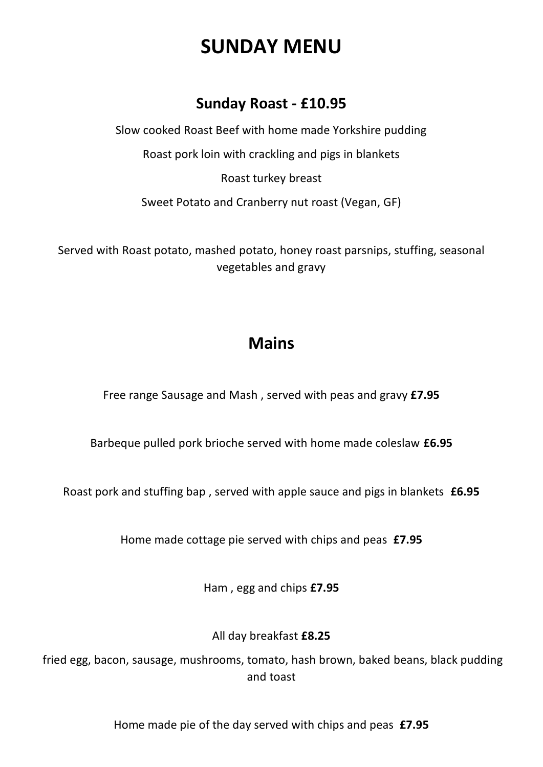# **SUNDAY MENU**

### **Sunday Roast - £10.95**

Slow cooked Roast Beef with home made Yorkshire pudding Roast pork loin with crackling and pigs in blankets Roast turkey breast Sweet Potato and Cranberry nut roast (Vegan, GF)

Served with Roast potato, mashed potato, honey roast parsnips, stuffing, seasonal vegetables and gravy

## **Mains**

Free range Sausage and Mash , served with peas and gravy **£7.95**

Barbeque pulled pork brioche served with home made coleslaw **£6.95**

Roast pork and stuffing bap , served with apple sauce and pigs in blankets **£6.95**

Home made cottage pie served with chips and peas **£7.95**

Ham , egg and chips **£7.95**

All day breakfast **£8.25**

fried egg, bacon, sausage, mushrooms, tomato, hash brown, baked beans, black pudding and toast

Home made pie of the day served with chips and peas **£7.95**